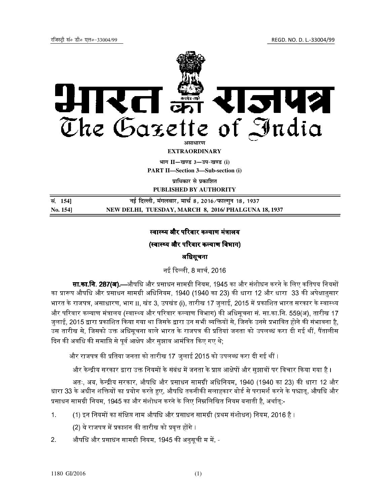

## स्वास्थ्य और परिवार कल्याण मंत्रालय

# (स्वास्थ्य और परिवार कल्याण विभाग)

## अधिसूचना

नई दली, 8 माच
, 2016

**सा.का.नि. 287(अ).**—औषधि और प्रसाधन सामग्री नियम, 1945 का और संशोधन करने के लिए कतिपय नियमों का प्रारूप औषधि और प्रसाधन सामग्री अधिनियम, 1940 (1940 का 23) की धारा 12 और धारा 33 की अपेक्षानुसार भारत के राजपत्र, असाधारण, भाग II, खंड 3, उपखंड (i), तारीख 17 जुलाई, 2015 में प्रकाशित भारत सरकार के स्वास्थ्य और परिवार कल्याण मंत्रालय (स्वास्थ्य और परिवार कल्याण विभाग) की अधिसूचना सं. सा.का.नि. 559(अ), तारीख 17 जुलाई, 2015 द्वारा प्रकाशित किया गया था जिसके द्वारा उन सभी व्यक्तियों से, जिनके उनसे प्रभावित होने की संभावना है, उस तारीख से, जिसको उक्त अधिसूचना वाले भारत के राजपत्र की प्रतियां जनता को उपलब्ध करा दी गई थीं, पैंतालीस दिन की अवधि की समाप्ति से पर्व आक्षेप और सुझाव आमंत्रित किए गए थे;

और राजपत्र की प्रतिया जनता को तारीख 17 जलाई 2015 को उपलब्ध करा दी गई थीं ।

और केन्द्रीय सरकार द्वारा उक्त नियमों के संबंध में जनता के प्राप्त आक्षेपों और सुझावों पर विचार किया गया है ।

अतः, अब, केन्द्रीय सरकार, औषधि और प्रसाधन सामग्री अधिनियम, 1940 (1940 का 23) की धारा 12 और धारा 33 के अधीन शक्तियों का प्रयोग करते हुए, औषधि तकनीकी सलाहकार बोर्ड से परामर्श करने के पश्चातु, औषधि और प्रसाधन सामग्री नियम, 1945 का और संशोधन करने के लिए निम्नलिखित नियम बनाती है, अर्थात:-

- 1. (1) इन नियमों का संक्षिप्त नाम औषधि और प्रसाधन सामग्री (प्रथम संशोधन) नियम, 2016 है ।
	- (2) ये राजपत्र में प्रकाशन की तारीख को प्रवृत्त होंगे ।
- 2. औषधि और प्रसाधन सामग्री नियम, 1945 की अनुसूची म में, -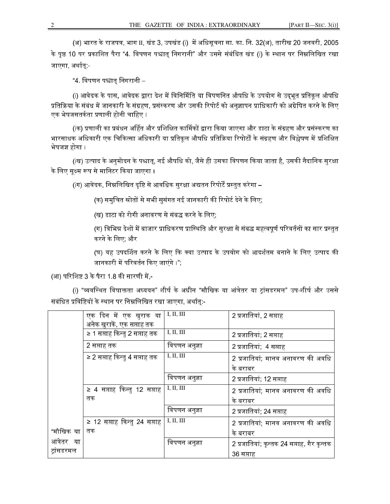(अ) भारत के राजपत्र, भाग II, खंड 3, उपखंड (i) में अधिसूचना सा. का. नि. 32(अ), तारीख 20 जनवरी, 2005 के पृष्ठ 10 पर प्रकाशित पैरा "4. विपणन पश्चात् निगरानी" और उससे संबंधित खंड (i) के स्थान पर निम्नलिखित रखा जाएगा, अर्थातुः-

"4. विपणन पश्चात् निगरानी –

(i) आवेदक के पास, आवेदक द्वारा देश में विनिर्मिति या विपणनित औषधि के उपयोग से उद्भूत प्रतिकूल औषधि प्रतिक्रिया के संबंध में जानकारी के संग्रहण, प्रसंस्करण और उसकी रिपोर्ट को अनुज्ञापन प्राधिकारी को अग्रेषित करने के लिए एक भेषजसतर्कता प्रणाली होनी चाहिए ।

(iक) प्रणाली का प्रबंधन अर्हित और प्रशिक्षित कार्मिकों द्वारा किया जाएगा और डाटा के संग्रहण और प्रसंस्करण का भारसाधक अधिकारी एक चिकित्सा अधिकारी या प्रतिकूल औषधि प्रतिक्रिया रिपोर्टों के संग्रहण और विश्लेषण में प्रशिक्षित भेषजज्ञ होगा ।

(iख) उत्पाद के अनुमोदन के पश्चात्, नई औषधि को, जैसे ही उसका विपणन किया जाता है, उसकी नैदानिक सुरक्षा के लिए सुक्ष्म रूप से मानिटर किया जाएगा ।

(iग) आवेदक, निम्नलिखित दृष्टि से आवधिक सुरक्षा अद्यतन रिपोर्टें प्रस्तुत करेगा –

(क) समुचित स्रोतों से सभी सुसंगत नई जानकारी की रिपोर्ट देने के लिए;

(ख) डाटा को रोगी अनावरण से संबद्ध करने के लिए;

(ग) विभिन्न देशों में बाजार प्राधिकरण प्रास्थिति और सुरक्षा से संबद्ध महत्वपूर्ण परिवर्तनों का सार प्रस्तुत करने के िलए; और

(घ) यह उपदर्शित करने के लिए कि क्या उत्पाद के उपयोग को आदर्शतम बनाने के लिए उत्पाद की जानकारी में परिवर्तन किए जाएंगे ।";

(आ) परिशिष्ट 3 के पैरा 1.8 की सारणी में,-

(i) "व्यवस्थित विषाक्तता अध्ययन" शीर्ष के अधीन "मौखिक या आंत्रेतर या ट्रांसडरमल" उप-शीर्ष और उससे संबंधित प्रविष्टियों के स्थान पर निम्नलिखित रखा जाएगा, अर्थात्:-

|             | __<br>एक दिन में एक खुराक या  | I, II, III    | 2 प्रजातियां, 2 सप्ताह                     |
|-------------|-------------------------------|---------------|--------------------------------------------|
|             | अनेक खुराकें, एक सप्ताह तक    |               |                                            |
|             | ≥ 1 सप्ताह किन्तु 2 सप्ताह तक | I, II, III    | 2 प्रजातियां; 2 सप्ताह                     |
|             | 2 सप्ताह तक                   | विपणन अनुज्ञा | 2 प्रजातियां; 4 सप्ताह                     |
|             | ≥ 2 सप्ताह किन्तु 4 सप्ताह तक | I, II, III    | 2 प्रजातियां; मानव अनावरण की अवधि          |
|             |                               |               | के बराबर                                   |
|             |                               | विपणन अनुज्ञा | 2 प्रजातियां; 12 सप्ताह                    |
|             | ≥ 4 सप्ताह किन्तु 12 सप्ताह   | I, II, III    | 2 प्रजातियां; मानव अनावरण की अवधि          |
|             | तक                            |               | के बराबर                                   |
|             |                               | विपणन अनुज्ञा | 2 प्रजातियां; 24 सप्ताह                    |
|             | ≥ 12 सप्ताह किन्तु 24 सप्ताह  | I, II, III    | 2 प्रजातियां; मानव अनावरण की अवधि          |
| "मौखिक या   | तक                            |               | के बराबर                                   |
| आंत्रेतर या |                               | विपणन अनुज्ञा | 2 प्रजातियां; कृन्तक 24 सप्ताह, गैर कृन्तक |
| ट्रांसडरमल  |                               |               | 36 सप्ताह                                  |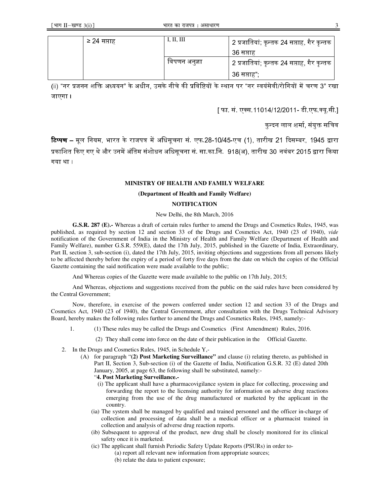| ≥ 24 सप्ताह | I, II, III    | 2 प्रजातियां; कृन्तक 24 सप्ताह, गैर कृन्तक |
|-------------|---------------|--------------------------------------------|
|             |               | 36 सप्ताह                                  |
|             | विपणन अनुज्ञा | 2 प्रजातियां; कृन्तक 24 सप्ताह, गैर कृन्तक |
|             |               | 36 सप्ताह",                                |

(ii) "नर प्रजनन शक्ति अध्ययन" के अधीन, उसके नीचे की प्रविष्टियों के स्थान पर "नर स्वयंसेवी/रोगियों में चरण 3" रखा जाएगा ।

[ फा. सं. एक्स.11014/12/2011- डी.एफ.क्यू.सी.]

कुन्दन लाल शर्मा, संयुक्त सचिव

**टिप्पण –** मूल नियम, भारत के राजपत्र में अधिसूचना सं. एफ.28-10/45-एच (1), तारीख 21 दिसम्बर, 1945 द्वारा प्रकाशित किए गए थे और उनमें अंतिम संशोधन अधिसूचना सं. सा.का.नि. 918(अ), तारीख 30 नवंबर 2015 द्वारा किया गया था ।

#### **MINISTRY OF HEALTH AND FAMILY WELFARE**

#### **(Department of Health and Family Welfare)**

### **NOTIFICATION**

#### New Delhi, the 8th March, 2016

**G.S.R. 287 (E).-** Whereas a draft of certain rules further to amend the Drugs and Cosmetics Rules, 1945, was published, as required by section 12 and section 33 of the Drugs and Cosmetics Act, 1940 (23 of 1940), *vide* notification of the Government of India in the Ministry of Health and Family Welfare (Department of Health and Family Welfare), number G.S.R. 559(E), dated the 17th July, 2015, published in the Gazette of India, Extraordinary, Part II, section 3, sub-section (i), dated the 17th July, 2015, inviting objections and suggestions from all persons likely to be affected thereby before the expiry of a period of forty five days from the date on which the copies of the Official Gazette containing the said notification were made available to the public;

And Whereas copies of the Gazette were made available to the public on 17th July, 2015;

And Whereas, objections and suggestions received from the public on the said rules have been considered by the Central Government;

Now, therefore, in exercise of the powers conferred under section 12 and section 33 of the Drugs and Cosmetics Act, 1940 (23 of 1940), the Central Government, after consultation with the Drugs Technical Advisory Board, hereby makes the following rules further to amend the Drugs and Cosmetics Rules, 1945, namely:-

- 1. (1) These rules may be called the Drugs and Cosmetics (First Amendment) Rules, 2016.
	- (2) They shall come into force on the date of their publication in the Official Gazette.
- 2. In the Drugs and Cosmetics Rules, 1945, in Schedule Y,-
	- (A) for paragraph "**(2) Post Marketing Surveillance"** and clause (i) relating thereto, as published in Part II, Section 3, Sub-section (i) of the Gazette of India, Notification G.S.R. 32 (E) dated 20th January, 2005, at page 63, the following shall be substituted, namely:-
		- "**4. Post Marketing Surveillance.-**
		- (i) The applicant shall have a pharmacovigilance system in place for collecting, processing and forwarding the report to the licensing authority for information on adverse drug reactions emerging from the use of the drug manufactured or marketed by the applicant in the country.
		- (ia) The system shall be managed by qualified and trained personnel and the officer in-charge of collection and processing of data shall be a medical officer or a pharmacist trained in collection and analysis of adverse drug reaction reports.
		- (ib) Subsequent to approval of the product, new drug shall be closely monitored for its clinical safety once it is marketed.
		- (ic) The applicant shall furnish Periodic Safety Update Reports (PSURs) in order to-
			- (a) report all relevant new information from appropriate sources;
			- (b) relate the data to patient exposure;